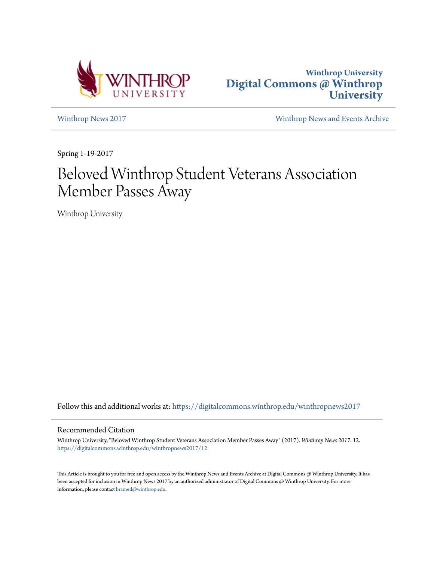



[Winthrop News 2017](https://digitalcommons.winthrop.edu/winthropnews2017?utm_source=digitalcommons.winthrop.edu%2Fwinthropnews2017%2F12&utm_medium=PDF&utm_campaign=PDFCoverPages) [Winthrop News and Events Archive](https://digitalcommons.winthrop.edu/winthropnewsarchives?utm_source=digitalcommons.winthrop.edu%2Fwinthropnews2017%2F12&utm_medium=PDF&utm_campaign=PDFCoverPages)

Spring 1-19-2017

## Beloved Winthrop Student Veterans Association Member Passes Away

Winthrop University

Follow this and additional works at: [https://digitalcommons.winthrop.edu/winthropnews2017](https://digitalcommons.winthrop.edu/winthropnews2017?utm_source=digitalcommons.winthrop.edu%2Fwinthropnews2017%2F12&utm_medium=PDF&utm_campaign=PDFCoverPages)

## Recommended Citation

Winthrop University, "Beloved Winthrop Student Veterans Association Member Passes Away" (2017). *Winthrop News 2017*. 12. [https://digitalcommons.winthrop.edu/winthropnews2017/12](https://digitalcommons.winthrop.edu/winthropnews2017/12?utm_source=digitalcommons.winthrop.edu%2Fwinthropnews2017%2F12&utm_medium=PDF&utm_campaign=PDFCoverPages)

This Article is brought to you for free and open access by the Winthrop News and Events Archive at Digital Commons @ Winthrop University. It has been accepted for inclusion in Winthrop News 2017 by an authorized administrator of Digital Commons @ Winthrop University. For more information, please contact [bramed@winthrop.edu](mailto:bramed@winthrop.edu).